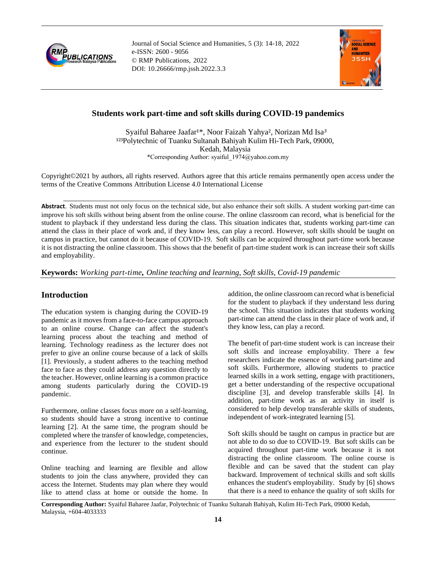

Journal of Social Science and Humanities, 5 (3): 14-18, 2022 e-ISSN: 2600 - 9056 © RMP Publications, 2022 DOI: 10.26666/rmp.jssh.2022.3.3



# **Students work part-time and soft skills during COVID-19 pandemics**

Syaiful Baharee Jaafar<sup>1\*</sup>, Noor Faizah Yahya<sup>2</sup>, Norizan Md Isa<sup>3</sup> <sup>123</sup>Polytechnic of Tuanku Sultanah Bahiyah Kulim Hi-Tech Park, 09000, Kedah, Malaysia \*Corresponding Author: syaiful\_1974@yahoo.com.my

Copyright©2021 by authors, all rights reserved. Authors agree that this article remains permanently open access under the terms of the Creative Commons Attribution License 4.0 International License

**Abstract**. Students must not only focus on the technical side, but also enhance their soft skills. A student working part-time can improve his soft skills without being absent from the online course. The online classroom can record, what is beneficial for the student to playback if they understand less during the class. This situation indicates that, students working part-time can attend the class in their place of work and, if they know less, can play a record. However, soft skills should be taught on campus in practice, but cannot do it because of COVID-19. Soft skills can be acquired throughout part-time work because it is not distracting the online classroom. This shows that the benefit of part-time student work is can increase their soft skills and employability.

**Keywords:** *Working part-time, Online teaching and learning, Soft skills, Covid-19 pandemic*

### **Introduction**

The education system is changing during the COVID-19 pandemic as it moves from a face-to-face campus approach to an online course. Change can affect the student's learning process about the teaching and method of learning. Technology readiness as the lecturer does not prefer to give an online course because of a lack of skills [1]. Previously, a student adheres to the teaching method face to face as they could address any question directly to the teacher. However, online learning is a common practice among students particularly during the COVID-19 pandemic.

Furthermore, online classes focus more on a self-learning, so students should have a strong incentive to continue learning [2]. At the same time, the program should be completed where the transfer of knowledge, competencies, and experience from the lecturer to the student should continue.

Online teaching and learning are flexible and allow students to join the class anywhere, provided they can access the Internet. Students may plan where they would like to attend class at home or outside the home. In

addition, the online classroom can record what is beneficial for the student to playback if they understand less during the school. This situation indicates that students working part-time can attend the class in their place of work and, if they know less, can play a record.

The benefit of part-time student work is can increase their soft skills and increase employability. There a few researchers indicate the essence of working part-time and soft skills. Furthermore, allowing students to practice learned skills in a work setting, engage with practitioners, get a better understanding of the respective occupational discipline [3], and develop transferable skills [4]. In addition, part-time work as an activity in itself is considered to help develop transferable skills of students, independent of work-integrated learning [5].

Soft skills should be taught on campus in practice but are not able to do so due to COVID-19. But soft skills can be acquired throughout part-time work because it is not distracting the online classroom. The online course is flexible and can be saved that the student can play backward. Improvement of technical skills and soft skills enhances the student's employability. Study by [6] shows that there is a need to enhance the quality of soft skills for

**Corresponding Author:** Syaiful Baharee Jaafar, Polytechnic of Tuanku Sultanah Bahiyah, Kulim Hi-Tech Park, 09000 Kedah, Malaysia, +604-4033333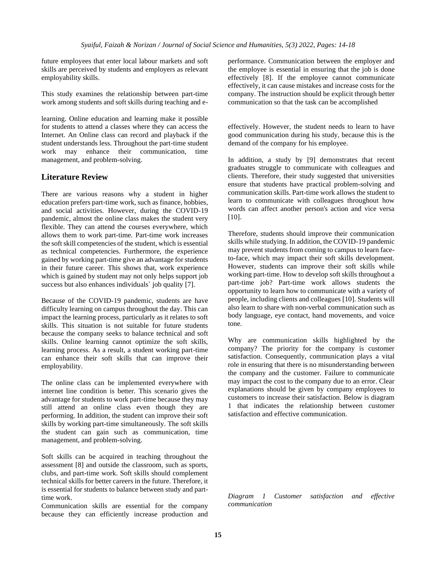future employees that enter local labour markets and soft skills are perceived by students and employers as relevant employability skills.

This study examines the relationship between part-time work among students and soft skills during teaching and e-

learning. Online education and learning make it possible for students to attend a classes where they can access the Internet. An Online class can record and playback if the student understands less. Throughout the part-time student work may enhance their communication, time management, and problem-solving.

## **Literature Review**

There are various reasons why a student in higher education prefers part-time work, such as finance, hobbies, and social activities. However, during the COVID-19 pandemic, almost the online class makes the student very flexible. They can attend the courses everywhere, which allows them to work part-time. Part-time work increases the soft skill competencies of the student, which is essential as technical competencies. Furthermore, the experience gained by working part-time give an advantage for students in their future career. This shows that, work experience which is gained by student may not only helps support job success but also enhances individuals` job quality [7].

Because of the COVID-19 pandemic, students are have difficulty learning on campus throughout the day. This can impact the learning process, particularly as it relates to soft skills. This situation is not suitable for future students because the company seeks to balance technical and soft skills. Online learning cannot optimize the soft skills, learning process. As a result, a student working part-time can enhance their soft skills that can improve their employability.

The online class can be implemented everywhere with internet line condition is better. This scenario gives the advantage for students to work part-time because they may still attend an online class even though they are performing. In addition, the student can improve their soft skills by working part-time simultaneously. The soft skills the student can gain such as communication, time management, and problem-solving.

Soft skills can be acquired in teaching throughout the assessment [8] and outside the classroom, such as sports, clubs, and part-time work. Soft skills should complement technical skills for better careers in the future. Therefore, it is essential for students to balance between study and parttime work.

Communication skills are essential for the company because they can efficiently increase production and performance. Communication between the employer and the employee is essential in ensuring that the job is done effectively [8]. If the employee cannot communicate effectively, it can cause mistakes and increase costs for the company. The instruction should be explicit through better communication so that the task can be accomplished

effectively. However, the student needs to learn to have good communication during his study, because this is the demand of the company for his employee.

In addition, a study by [9] demonstrates that recent graduates struggle to communicate with colleagues and clients. Therefore, their study suggested that universities ensure that students have practical problem-solving and communication skills. Part-time work allows the student to learn to communicate with colleagues throughout how words can affect another person's action and vice versa [10].

Therefore, students should improve their communication skills while studying. In addition, the COVID-19 pandemic may prevent students from coming to campus to learn faceto-face, which may impact their soft skills development. However, students can improve their soft skills while working part-time. How to develop soft skills throughout a part-time job? Part-time work allows students the opportunity to learn how to communicate with a variety of people, including clients and colleagues [10]. Students will also learn to share with non-verbal communication such as body language, eye contact, hand movements, and voice tone.

Why are communication skills highlighted by the company? The priority for the company is customer satisfaction. Consequently, communication plays a vital role in ensuring that there is no misunderstanding between the company and the customer. Failure to communicate may impact the cost to the company due to an error. Clear explanations should be given by company employees to customers to increase their satisfaction. Below is diagram 1 that indicates the relationship between customer satisfaction and effective communication.

*Diagram 1 Customer satisfaction and effective communication*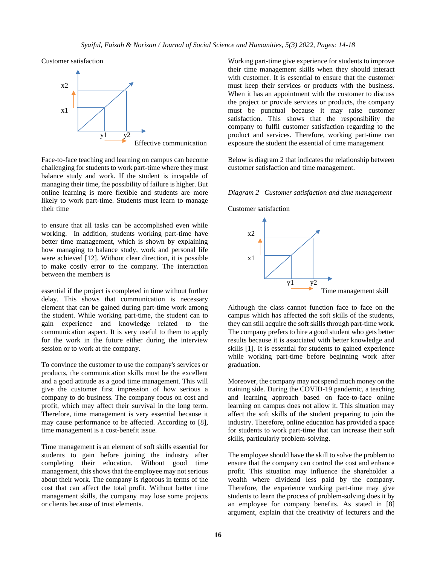Customer satisfaction



Face-to-face teaching and learning on campus can become challenging for students to work part-time where they must balance study and work. If the student is incapable of managing their time, the possibility of failure is higher. But online learning is more flexible and students are more likely to work part-time. Students must learn to manage their time

to ensure that all tasks can be accomplished even while working. In addition, students working part-time have better time management, which is shown by explaining how managing to balance study, work and personal life were achieved [12]. Without clear direction, it is possible to make costly error to the company. The interaction between the members is

essential if the project is completed in time without further delay. This shows that communication is necessary element that can be gained during part-time work among the student. While working part-time, the student can to gain experience and knowledge related to the communication aspect. It is very useful to them to apply for the work in the future either during the interview session or to work at the company.

To convince the customer to use the company's services or products, the communication skills must be the excellent and a good attitude as a good time management. This will give the customer first impression of how serious a company to do business. The company focus on cost and profit, which may affect their survival in the long term. Therefore, time management is very essential because it may cause performance to be affected. According to [8], time management is a cost-benefit issue.

Time management is an element of soft skills essential for students to gain before joining the industry after completing their education. Without good time management, this shows that the employee may not serious about their work. The company is rigorous in terms of the cost that can affect the total profit. Without better time management skills, the company may lose some projects or clients because of trust elements.

Working part-time give experience for students to improve their time management skills when they should interact with customer. It is essential to ensure that the customer must keep their services or products with the business. When it has an appointment with the customer to discuss the project or provide services or products, the company must be punctual because it may raise customer satisfaction. This shows that the responsibility the company to fulfil customer satisfaction regarding to the product and services. Therefore, working part-time can exposure the student the essential of time management

Below is diagram 2 that indicates the relationship between customer satisfaction and time management.

*Diagram 2 Customer satisfaction and time management* 

Customer satisfaction



Although the class cannot function face to face on the campus which has affected the soft skills of the students, they can still acquire the soft skills through part-time work. The company prefers to hire a good student who gets better results because it is associated with better knowledge and skills [1]. It is essential for students to gained experience while working part-time before beginning work after graduation.

Moreover, the company may not spend much money on the training side. During the COVID-19 pandemic, a teaching and learning approach based on face-to-face online learning on campus does not allow it. This situation may affect the soft skills of the student preparing to join the industry. Therefore, online education has provided a space for students to work part-time that can increase their soft skills, particularly problem-solving.

The employee should have the skill to solve the problem to ensure that the company can control the cost and enhance profit. This situation may influence the shareholder a wealth where dividend less paid by the company. Therefore, the experience working part-time may give students to learn the process of problem-solving does it by an employee for company benefits. As stated in [8] argument, explain that the creativity of lecturers and the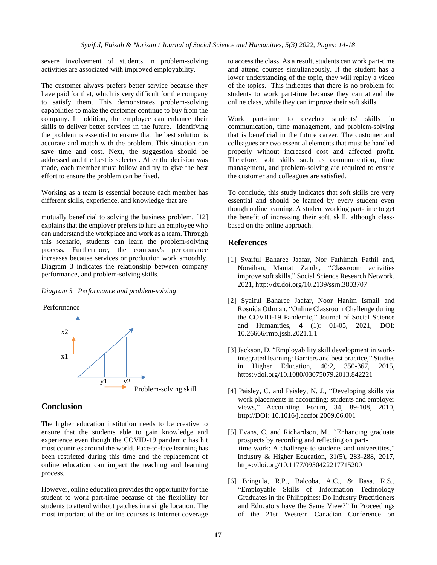severe involvement of students in problem-solving activities are associated with improved employability.

The customer always prefers better service because they have paid for that, which is very difficult for the company to satisfy them. This demonstrates problem-solving capabilities to make the customer continue to buy from the company. In addition, the employee can enhance their skills to deliver better services in the future. Identifying the problem is essential to ensure that the best solution is accurate and match with the problem. This situation can save time and cost. Next, the suggestion should be addressed and the best is selected. After the decision was made, each member must follow and try to give the best effort to ensure the problem can be fixed.

Working as a team is essential because each member has different skills, experience, and knowledge that are

mutually beneficial to solving the business problem. [12] explains that the employer prefers to hire an employee who can understand the workplace and work as a team. Through this scenario, students can learn the problem-solving process. Furthermore, the company's performance increases because services or production work smoothly. Diagram 3 indicates the relationship between company performance, and problem-solving skills.

#### *Diagram 3 Performance and problem-solving*



#### **Conclusion**

The higher education institution needs to be creative to ensure that the students able to gain knowledge and experience even though the COVID-19 pandemic has hit most countries around the world. Face-to-face learning has been restricted during this time and the replacement of online education can impact the teaching and learning process.

However, online education provides the opportunity for the student to work part-time because of the flexibility for students to attend without patches in a single location. The most important of the online courses is Internet coverage

to access the class. As a result, students can work part-time and attend courses simultaneously. If the student has a lower understanding of the topic, they will replay a video of the topics. This indicates that there is no problem for students to work part-time because they can attend the online class, while they can improve their soft skills.

Work part-time to develop students' skills in communication, time management, and problem-solving that is beneficial in the future career. The customer and colleagues are two essential elements that must be handled properly without increased cost and affected profit. Therefore, soft skills such as communication, time management, and problem-solving are required to ensure the customer and colleagues are satisfied.

To conclude, this study indicates that soft skills are very essential and should be learned by every student even though online learning. A student working part-time to get the benefit of increasing their soft, skill, although classbased on the online approach.

#### **References**

- [1] Syaiful Baharee Jaafar, Nor Fathimah Fathil and, Noraihan, Mamat Zambi, "Classroom activities improve soft skills," Social Science Research Network, 2021, <http://dx.doi.org/10.2139/ssrn.3803707>
- [2] Syaiful Baharee Jaafar, Noor Hanim Ismail and Rosnida Othman, "Online Classroom Challenge during the COVID-19 Pandemic," Journal of Social Science and Humanities, 4 (1): 01-05, 2021, DOI: 10.26666/rmp.jssh.2021.1.1
- [3] Jackson, D, "Employability skill development in workintegrated learning: Barriers and best practice," Studies in Higher Education, 40:2, 350-367, 2015, https:[//doi.org/10.1080/03075079.2013.842221](https://doi.org/10.1080/03075079.2013.842221)
- [4] Paisley, C. and Paisley, N. J., "Developing skills via work placements in accounting: students and employer views," Accounting Forum, 34, 89-108, 2010, http://DOI: 10.1016/j.accfor.2009.06.001
- [5] Evans, C. and Richardson, M., "Enhancing graduate prospects by recording and reflecting on part time work: A challenge to students and universities," Industry & Higher Education, 31(5), 283-288, 2017, [https://doi.org/10.1177/0950422217715200](https://doi.org/10.1177%2F0950422217715200)
- [6] Bringula, R.P., Balcoba, A.C., & Basa, R.S., "Employable Skills of Information Technology Graduates in the Philippines: Do Industry Practitioners and Educators have the Same View?" In Proceedings of the 21st Western Canadian Conference on